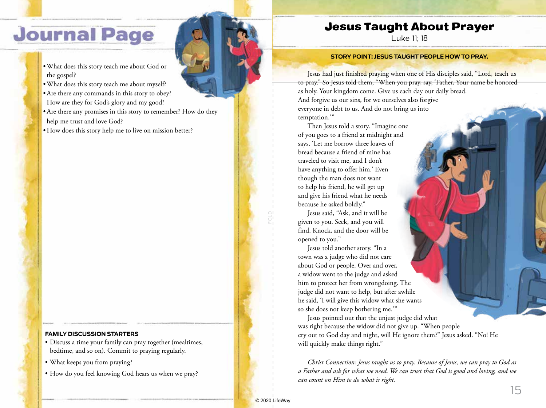# **Journal Page**

- •What does this story teach me about God or the gospel?
- •What does this story teach me about myself?
- •Are there any commands in this story to obey? How are they for God's glory and my good?
- •Are there any promises in this story to remember? How do they help me trust and love God?
- How does this story help me to live on mission better?

### **FAMILY DISCUSSION STARTERS**

- Discuss a time your family can pray together (mealtimes, bedtime, and so on). Commit to praying regularly.
- What keeps you from praying?
- How do you feel knowing God hears us when we pray?

## Jesus Taught About Prayer

Luke 11; 18

#### **STORY POINT: JESUS TAUGHT PEOPLE HOW TO PRAY.**

Jesus had just finished praying when one of His disciples said, "Lord, teach us to pray." So Jesus told them, "When you pray, say, 'Father, Your name be honored as holy. Your kingdom come. Give us each day our daily bread. And forgive us our sins, for we ourselves also forgive everyone in debt to us. And do not bring us into temptation.'"

Then Jesus told a story. "Imagine one of you goes to a friend at midnight and says, 'Let me borrow three loaves of bread because a friend of mine has traveled to visit me, and I don't have anything to offer him.' Even though the man does not want to help his friend, he will get up and give his friend what he needs because he asked boldly."

Jesus said, "Ask, and it will be given to you. Seek, and you will find. Knock, and the door will be opened to you."

Jesus told another story. "In a town was a judge who did not care about God or people. Over and over, a widow went to the judge and asked him to protect her from wrongdoing. The judge did not want to help, but after awhile he said, 'I will give this widow what she wants so she does not keep bothering me.'"

Jesus pointed out that the unjust judge did what was right because the widow did not give up. "When people cry out to God day and night, will He ignore them?" Jesus asked. "No! He will quickly make things right."

*Christ Connection: Jesus taught us to pray. Because of Jesus, we can pray to God as a Father and ask for what we need. We can trust that God is good and loving, and we can count on Him to do what is right.*